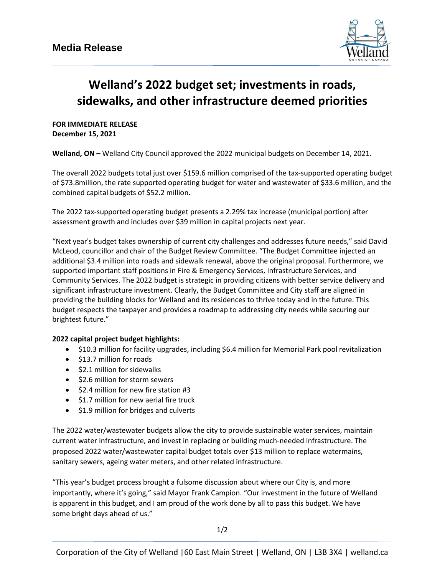

## **Welland's 2022 budget set; investments in roads, sidewalks, and other infrastructure deemed priorities**

**FOR IMMEDIATE RELEASE December 15, 2021**

**Welland, ON –** Welland City Council approved the 2022 municipal budgets on December 14, 2021.

The overall 2022 budgets total just over \$159.6 million comprised of the tax-supported operating budget of \$73.8million, the rate supported operating budget for water and wastewater of \$33.6 million, and the combined capital budgets of \$52.2 million.

The 2022 tax-supported operating budget presents a 2.29% tax increase (municipal portion) after assessment growth and includes over \$39 million in capital projects next year.

"Next year's budget takes ownership of current city challenges and addresses future needs," said David McLeod, councillor and chair of the Budget Review Committee. "The Budget Committee injected an additional \$3.4 million into roads and sidewalk renewal, above the original proposal. Furthermore, we supported important staff positions in Fire & Emergency Services, Infrastructure Services, and Community Services. The 2022 budget is strategic in providing citizens with better service delivery and significant infrastructure investment. Clearly, the Budget Committee and City staff are aligned in providing the building blocks for Welland and its residences to thrive today and in the future. This budget respects the taxpayer and provides a roadmap to addressing city needs while securing our brightest future."

## **2022 capital project budget highlights:**

- \$10.3 million for facility upgrades, including \$6.4 million for Memorial Park pool revitalization
- \$13.7 million for roads
- \$2.1 million for sidewalks
- \$2.6 million for storm sewers
- \$2.4 million for new fire station #3
- \$1.7 million for new aerial fire truck
- \$1.9 million for bridges and culverts

The 2022 water/wastewater budgets allow the city to provide sustainable water services, maintain current water infrastructure, and invest in replacing or building much-needed infrastructure. The proposed 2022 water/wastewater capital budget totals over \$13 million to replace watermains, sanitary sewers, ageing water meters, and other related infrastructure.

"This year's budget process brought a fulsome discussion about where our City is, and more importantly, where it's going," said Mayor Frank Campion. "Our investment in the future of Welland is apparent in this budget, and I am proud of the work done by all to pass this budget. We have some bright days ahead of us."